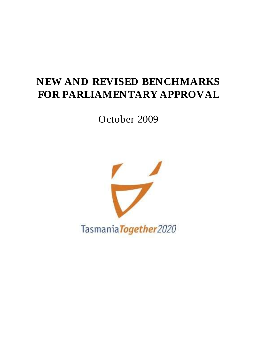# **NEW AND REVISED BENCHMARKS FOR PARLIAMENTARY APPROVAL**

October 2009

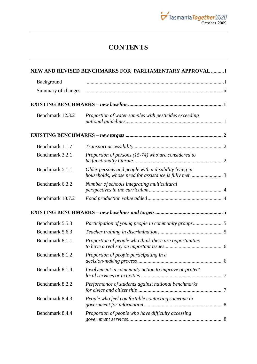

## **CONTENTS**

|                    | NEW AND REVISED BENCHMARKS FOR PARLIAMENTARY APPROVAL  i                                                      |  |
|--------------------|---------------------------------------------------------------------------------------------------------------|--|
| Background         |                                                                                                               |  |
| Summary of changes |                                                                                                               |  |
|                    |                                                                                                               |  |
| Benchmark 12.3.2   | Proportion of water samples with pesticides exceeding                                                         |  |
|                    |                                                                                                               |  |
| Benchmark 1.1.7    |                                                                                                               |  |
| Benchmark 3.2.1    | Proportion of persons (15-74) who are considered to                                                           |  |
| Benchmark 5.1.1    | Older persons and people with a disability living in<br>households, whose need for assistance is fully met  3 |  |
| Benchmark 6.3.2    | Number of schools integrating multicultural                                                                   |  |
| Benchmark 10.7.2   |                                                                                                               |  |
|                    |                                                                                                               |  |
| Benchmark 5.5.3    |                                                                                                               |  |
| Benchmark 5.6.3    |                                                                                                               |  |
| Benchmark 8.1.1    | Proportion of people who think there are opportunities                                                        |  |
| Benchmark 8.1.2    | Proportion of people participating in a                                                                       |  |
| Benchmark 8.1.4    | Involvement in community action to improve or protect                                                         |  |
| Benchmark 8.2.2    | Performance of students against national benchmarks                                                           |  |
| Benchmark 8.4.3    | People who feel comfortable contacting someone in                                                             |  |
| Benchmark 8.4.4    | Proportion of people who have difficulty accessing                                                            |  |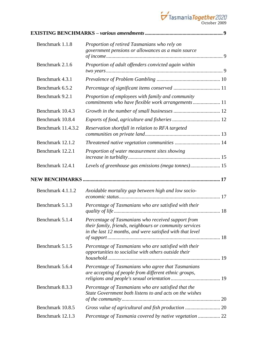

| Benchmark 1.1.8    | Proportion of retired Tasmanians who rely on<br>government pensions or allowances as a main source                                                                         |  |
|--------------------|----------------------------------------------------------------------------------------------------------------------------------------------------------------------------|--|
| Benchmark 2.1.6    | Proportion of adult offenders convicted again within                                                                                                                       |  |
| Benchmark 4.3.1    |                                                                                                                                                                            |  |
| Benchmark 6.5.2    |                                                                                                                                                                            |  |
| Benchmark 9.2.1    | Proportion of employees with family and community<br>commitments who have flexible work arrangements  11                                                                   |  |
| Benchmark 10.4.3   |                                                                                                                                                                            |  |
| Benchmark 10.8.4   |                                                                                                                                                                            |  |
| Benchmark 11.4.3.2 | Reservation shortfall in relation to RFA targeted                                                                                                                          |  |
| Benchmark 12.1.2   |                                                                                                                                                                            |  |
| Benchmark 12.2.1   | Proportion of water measurement sites showing                                                                                                                              |  |
| Benchmark 12.4.1   | Levels of greenhouse gas emissions (mega tonnes) 15                                                                                                                        |  |
|                    |                                                                                                                                                                            |  |
| Benchmark 4.1.1.2  | Avoidable mortality gap between high and low socio-                                                                                                                        |  |
| Benchmark 5.1.3    | Percentage of Tasmanians who are satisfied with their                                                                                                                      |  |
| Benchmark 5.1.4    | Percentage of Tasmanians who received support from<br>their family, friends, neighbours or community services<br>in the last 12 months, and were satisfied with that level |  |
| Benchmark 5.1.5    | Percentage of Tasmanians who are satisfied with their<br>opportunities to socialise with others outside their                                                              |  |
| Benchmark 5.6.4    | Percentage of Tasmanians who agree that Tasmanians<br>are accepting of people from different ethnic groups,                                                                |  |
| Benchmark 8.3.3    | Percentage of Tasmanians who are satisfied that the<br>State Government both listens to and acts on the wishes                                                             |  |
| Benchmark 10.8.5   |                                                                                                                                                                            |  |
| Benchmark 12.1.3   | Percentage of Tasmania covered by native vegetation  22                                                                                                                    |  |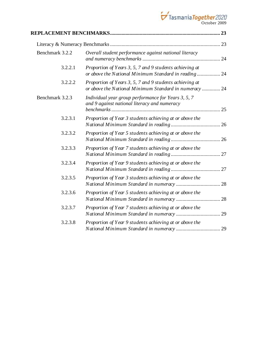

| Benchmark 3.2.2 | Overall student performance against national literacy                                                             |  |
|-----------------|-------------------------------------------------------------------------------------------------------------------|--|
| 3.2.2.1         | Proportion of Years 3, 5, 7 and 9 students achieving at<br>or above the National Minimum Standard in reading 24   |  |
| 3.2.2.2         | Proportion of Years 3, 5, 7 and 9 students achieving at<br>or above the National Minimum Standard in numeracy  24 |  |
| Benchmark 3.2.3 | Individual year group performance for Years 3, 5, 7<br>and 9 against national literacy and numeracy               |  |
| 3.2.3.1         | Proportion of Year 3 students achieving at or above the                                                           |  |
| 3.2.3.2         | Proportion of Year 5 students achieving at or above the                                                           |  |
| 3.2.3.3         | Proportion of Year 7 students achieving at or above the                                                           |  |
| 3.2.3.4         | Proportion of Year 9 students achieving at or above the                                                           |  |
| 3.2.3.5         | Proportion of Year 3 students achieving at or above the                                                           |  |
| 3.2.3.6         | Proportion of Year 5 students achieving at or above the                                                           |  |
| 3.2.3.7         | Proportion of Year 7 students achieving at or above the                                                           |  |
| 3.2.3.8         | Proportion of Year 9 students achieving at or above the                                                           |  |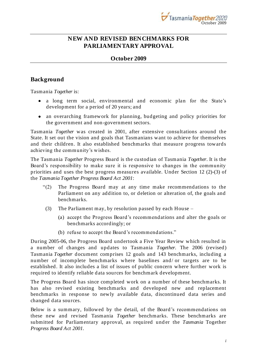

### <span id="page-6-0"></span>**NEW AND REVISED BENCHMARKS FOR PARLIAMENTARY APPROVAL**

#### **October 2009**

### <span id="page-6-1"></span>**Background**

Tasmania *Together* is:

- a long term social, environmental and economic plan for the State's development for a period of 20 years; and
- an overarching framework for planning, budgeting and policy priorities for the government and non-government sectors.

Tasmania *Together* was created in 2001, after extensive consultations around the State. It set out the vision and goals that Tasmanians want to achieve for themselves and their children. It also established benchmarks that measure progress towards achieving the community"s wishes.

The Tasmania *Together* Progress Board is the custodian of Tasmania *Together*. It is the Board"s responsibility to make sure it is responsive to changes in the community priorities and uses the best progress measures available. Under Section 12 (2)-(3) of the *Tasmania Together Progress Board Act 2001*:

- "(2) The Progress Board may at any time make recommendations to the Parliament on any addition to, or deletion or alteration of, the goals and benchmarks.
- (3) The Parliament may, by resolution passed by each House
	- (a) accept the Progress Board"s recommendations and alter the goals or benchmarks accordingly; or
	- (b) refuse to accept the Board"s recommendations."

During 2005-06, the Progress Board undertook a Five Year Review which resulted in a number of changes and updates to Tasmania *Together.* The 2006 (revised) Tasmania *Together* document comprises 12 goals and 143 benchmarks, including a number of incomplete benchmarks where baselines and/ or targets are to be established. It also includes a list of issues of public concern where further work is required to identify reliable data sources for benchmark development.

The Progress Board has since completed work on a number of these benchmarks. It has also revised existing benchmarks and developed new and replacement benchmarks in response to newly available data, discontinued data series and changed data sources.

Below is a summary, followed by the detail, of the Board's recommendations on these new and revised Tasmania *Together* benchmarks. These benchmarks are submitted for Parliamentary approval, as required und er the *Tasmania* Together *Progress Board Act 2001.*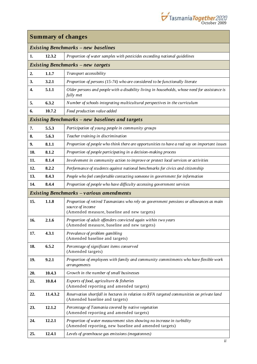

<span id="page-7-0"></span>

| <b>Summary of changes</b> |          |                                                                                                                                                           |
|---------------------------|----------|-----------------------------------------------------------------------------------------------------------------------------------------------------------|
|                           |          | <b>Existing Benchmarks - new baselines</b>                                                                                                                |
| 1.                        | 12.3.2   | Proportion of water samples with pesticides exceeding national guidelines                                                                                 |
|                           |          | <b>Existing Benchmarks - new targets</b>                                                                                                                  |
| 2.                        | 1.1.7    | Transport accessibility                                                                                                                                   |
| 3.                        | 3.2.1    | Proportion of persons (15-74) who are considered to be functionally literate                                                                              |
| 4.                        | 5.1.1    | Older persons and people with a disability living in households, whose need for assistance is<br>fully met                                                |
| 5.                        | 6.3.2    | Number of schools integrating multicultural perspectives in the curriculum                                                                                |
| 6.                        | 10.7.2   | Food production value added                                                                                                                               |
|                           |          | <b>Existing Benchmarks – new baselines and targets</b>                                                                                                    |
| 7.                        | 5.5.3    | Participation of young people in community groups                                                                                                         |
| 8.                        | 5.6.3    | Teacher training in discrimination                                                                                                                        |
| 9.                        | 8.1.1    | Proportion of people who think there are opportunities to have a real say on important issues                                                             |
| 10.                       | 8.1.2    | Proportion of people participating in a decision-making process                                                                                           |
| 11.                       | 8.1.4    | Involvement in community action to improve or protect local services or activities                                                                        |
| 12.                       | 8.2.2    | Performance of students against national benchmarks for civics and citizenship                                                                            |
| 13.                       | 8.4.3    | People who feel comfortable contacting someone in government for information                                                                              |
| 14.                       | 8.4.4    | Proportion of people who have difficulty accessing government services                                                                                    |
|                           |          | <b>Existing Benchmarks</b> - various amendments                                                                                                           |
| 15.                       | 1.1.8    | Proportion of retired Tasmanians who rely on government pensions or allowances as main<br>source of income<br>(Amended measure, baseline and new targets) |
| 16.                       | 2.1.6    | Proportion of adult offenders convicted again within two years<br>(Amended measure, baseline and new targets)                                             |
| 17.                       | 4.3.1    | Prevalence of problem gambling<br>(Amended baseline and targets)                                                                                          |
| 18.                       | 6.5.2    | Percentage of significant items conserved<br>(Amended targets)                                                                                            |
| 19.                       | 9.2.1    | Proportion of employees with family and community commitments who have flexible work<br>arrangements                                                      |
| 20.                       | 10.4.3   | Growth in the number of small businesses                                                                                                                  |
| 21.                       | 10.8.4   | Exports of food, agriculture & fisheries<br>(Amended reporting and amended targets)                                                                       |
| 22.                       | 11.4.3.2 | Reservation shortfall in hectares in relation to RFA targeted communities on private land<br>(Amended baseline and targets)                               |
| 23.                       | 12.1.2   | Percentage of Tasmania covered by native vegetation<br>(Amended reporting and amended targets)                                                            |
| 24.                       | 12.2.1   | Proportion of water measurement sites showing no increase in turbidity<br>(Amended reporting, new baseline and amended targets)                           |
| 25.                       | 12.4.1   | Levels of greenhouse gas emissions (megatonnes)                                                                                                           |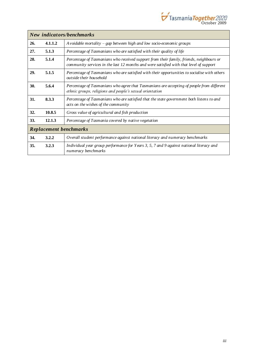

|                               | New indicators/benchmarks |                                                                                                                                                                                   |  |
|-------------------------------|---------------------------|-----------------------------------------------------------------------------------------------------------------------------------------------------------------------------------|--|
| 26.                           | 4.1.1.2                   | A voidable mortality – gap between high and low socio-economic groups                                                                                                             |  |
| 27.                           | 5.1.3                     | Percentage of Tasmanians who are satisfied with their quality of life                                                                                                             |  |
| 28.                           | 5.1.4                     | Percentage of Tasmanians who received support from their family, friends, neighbours or<br>community services in the last 12 months and were satisfied with that level of support |  |
| 29.                           | 5.1.5                     | Percentage of Tasmanians who are satisfied with their opportunities to socialise with others<br>outside their household                                                           |  |
| 30.                           | 5.6.4                     | Percentage of Tasmanians who agree that Tasmanians are accepting of people from different<br>ethnic groups, religions and people's sexual orientation                             |  |
| 31.                           | 8.3.3                     | Percentage of Tasmanians who are satisfied that the state government both listens to and<br>acts on the wishes of the community                                                   |  |
| 32.                           | 10.8.5                    | Gross value of agricultural and fish production                                                                                                                                   |  |
| <b>33.</b>                    | 12.1.3                    | Percentage of Tasmania covered by native vegetation                                                                                                                               |  |
| <b>Replacement benchmarks</b> |                           |                                                                                                                                                                                   |  |
| 34.                           | 3.2.2                     | Overall student performance against national literacy and numeracy benchmarks                                                                                                     |  |
| 35.                           | 3.2.3                     | Individual year group performance for Years 3, 5, 7 and 9 against national literacy and<br>numeracy benchmarks                                                                    |  |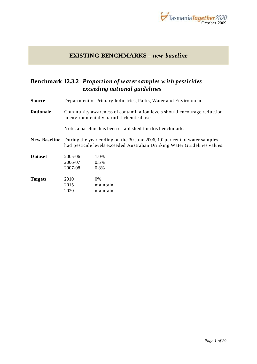

#### **EXISTING BENCHMARKS –** *new baseline*

### <span id="page-10-1"></span><span id="page-10-0"></span>**Benchmark 12.3.2** *Proportion of w ater samples w ith pesticides exceeding national guidelines*

**Source** Department of Primary Industries, Parks, Water and Environment

**Rationale** Community awareness of contamination levels should encourage reduction in environmentally harmful chemical use.

Note: a baseline has been established for this benchmark.

**New Baseline** During the year ending on the 30 June 2006, 1.0 per cent of water samples had pesticide levels exceeded Australian Drinking Water Guidelines values.

| <b>D</b> ataset | 2005-06 | 1.0%     |
|-----------------|---------|----------|
|                 | 2006-07 | 0.5%     |
|                 | 2007-08 | $0.8\%$  |
| <b>Targets</b>  | 2010    | $0\%$    |
|                 | 2015    | maintain |
|                 | 2020    | maintain |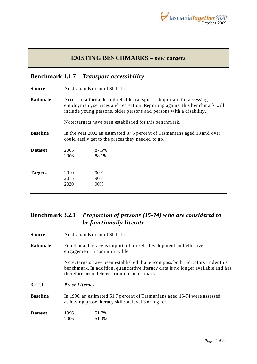

### **EXISTING BENCHMARKS –** *new targets*

### <span id="page-11-1"></span><span id="page-11-0"></span>**Benchmark 1.1.7** *Transport accessibility*

| Source          | Australian Bureau of Statistics                                                                                                                                                                                             |                                                         |
|-----------------|-----------------------------------------------------------------------------------------------------------------------------------------------------------------------------------------------------------------------------|---------------------------------------------------------|
| Rationale       | Access to affordable and reliable transport is important for accessing<br>employment, services and recreation. Reporting against this benchmark will<br>include young persons, older persons and persons with a disability. |                                                         |
|                 |                                                                                                                                                                                                                             | Note: targets have been established for this benchmark. |
| <b>Baseline</b> | In the year 2002 an estimated 87.5 percent of Tasmanians aged 18 and over<br>could easily get to the places they needed to go.                                                                                              |                                                         |
| <b>D</b> ataset | 2005<br>2006                                                                                                                                                                                                                | 87.5%<br>88.1%                                          |
| <b>Targets</b>  | 2010<br>2015<br>2020                                                                                                                                                                                                        | 90%<br>90%<br>90%                                       |

### <span id="page-11-2"></span>**Benchmark 3.2.1** *Proportion of persons (15-74) w ho are considered to be functionally literate*

| Source          | <b>Australian Bureau of Statistics</b>                                                                                                                                                                           |                |  |
|-----------------|------------------------------------------------------------------------------------------------------------------------------------------------------------------------------------------------------------------|----------------|--|
| Rationale       | Functional literacy is important for self-development and effective<br>engagement in community life.                                                                                                             |                |  |
|                 | Note: targets have been established that encompass both indicators under this<br>benchmark. In addition, quantitative literacy data is no longer available and has<br>therefore been deleted from the benchmark. |                |  |
| 3.2.1.1         | <b>Prose Literacy</b>                                                                                                                                                                                            |                |  |
| <b>Baseline</b> | In 1996, an estimated 51.7 percent of Tasmanians aged 15-74 were assessed<br>as having prose literacy skills at level 3 or higher.                                                                               |                |  |
| Dataset         | 1996<br>2006                                                                                                                                                                                                     | 51.7%<br>51.0% |  |
|                 |                                                                                                                                                                                                                  |                |  |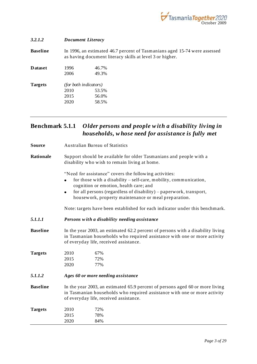

| 3.2.1.2         |                                                                                                                                       | <b>Document Literacy</b> |
|-----------------|---------------------------------------------------------------------------------------------------------------------------------------|--------------------------|
| <b>Baseline</b> | In 1996, an estimated 46.7 percent of Tasmanians aged 15-74 were assessed<br>as having document literacy skills at level 3 or higher. |                          |
| <b>D</b> ataset | 1996<br>2006                                                                                                                          | 46.7%<br>49.3%           |
| <b>Targets</b>  | <i>(for both indicators)</i><br>2010<br>2015<br>2020                                                                                  | 53.5%<br>56.0%<br>58.5%  |

#### <span id="page-12-0"></span>**Benchmark 5.1.1** *Older persons and people w ith a disability living in households, w hose need for assistance is fully met*

**Source** Australian Bureau of Statistics **Rationale** Support should be available for older Tasmanians and people with a disability who wish to remain living at home. "Need for assistance" covers the following activities: for those with a disability – self-care, mobility, communication, cognition or emotion, health care; and for all persons (regardless of disability) – paperwork, transport, housework, property maintenance or meal prep aration. Note: targets have been established for each indicator under this benchmark. *5.1.1.1 Persons w ith a disability needing assistance* **Baseline** In the year 2003, an estimated 62.2 percent of persons with a disability living in Tasmanian households who required assistance with one or more activity of everyday life, received assistance. **Targets** 2010 67% 2015 72% 2020 77% *5.1.1.2 Ages 60 or more needing assistance* **Baseline** In the year 2003, an estimated 65.9 percent of persons aged 60 or more living in Tasmanian households who required assistance with one or more activity of everyday life, received assistance. **Targets** 2010 72% 2015 78% 2020 84%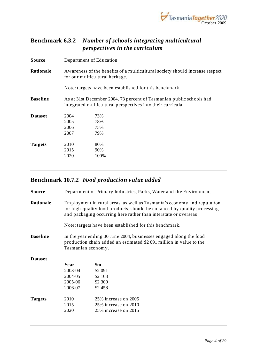

### <span id="page-13-0"></span>**Benchmark 6.3.2** *Number of schools integrating multicultural perspectives in the curriculum*

| <b>Source</b>   |                                                                                                                 | Department of Education                                                                                                             |  |  |
|-----------------|-----------------------------------------------------------------------------------------------------------------|-------------------------------------------------------------------------------------------------------------------------------------|--|--|
| Rationale       | Awareness of the benefits of a multicultural society should increase respect<br>for our multicultural heritage. |                                                                                                                                     |  |  |
|                 |                                                                                                                 | Note: targets have been established for this benchmark.                                                                             |  |  |
| <b>Baseline</b> |                                                                                                                 | As at 31st December 2004, 73 percent of Tasmanian public schools had<br>integrated multicultural perspectives into their curricula. |  |  |
| <b>D</b> ataset | 2004<br>2005<br>2006<br>2007                                                                                    | 73%<br>78%<br>75%<br>79%                                                                                                            |  |  |
| <b>Targets</b>  | 2010<br>2015<br>2020                                                                                            | 80%<br>90%<br>100%                                                                                                                  |  |  |

## <span id="page-13-1"></span>**Benchmark 10.7.2** *Food production value added*

| Source          | Department of Primary Industries, Parks, Water and the Environment                                                                                                                                                      |                                                         |
|-----------------|-------------------------------------------------------------------------------------------------------------------------------------------------------------------------------------------------------------------------|---------------------------------------------------------|
| Rationale       | Employment in rural areas, as well as Tasmania's economy and reputation<br>for high-quality food products, should be enhanced by quality processing<br>and packaging occurring here rather than interstate or overseas. |                                                         |
|                 |                                                                                                                                                                                                                         | Note: targets have been established for this benchmark. |
| <b>Baseline</b> | In the year ending 30 June 2004, businesses engaged along the food<br>production chain added an estimated \$2 091 million in value to the<br>Tasmanian economy.                                                         |                                                         |
| <b>D</b> ataset |                                                                                                                                                                                                                         |                                                         |
|                 | Year                                                                                                                                                                                                                    | $\mathbf{\$m}$                                          |
|                 | 2003-04                                                                                                                                                                                                                 | \$2 091                                                 |
|                 | 2004-05                                                                                                                                                                                                                 | \$2 103                                                 |
|                 | 2005-06                                                                                                                                                                                                                 | \$2 300                                                 |
|                 | 2006-07                                                                                                                                                                                                                 | \$2458                                                  |
| <b>Targets</b>  | 2010                                                                                                                                                                                                                    | 25% increase on 2005                                    |
|                 | 2015                                                                                                                                                                                                                    | 25% increase on 2010                                    |
|                 | 2020                                                                                                                                                                                                                    | 25% increase on 2015                                    |
|                 |                                                                                                                                                                                                                         |                                                         |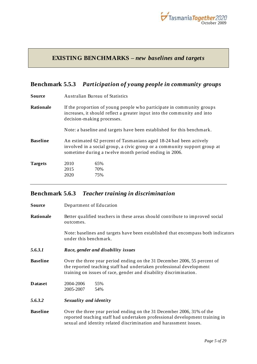

### <span id="page-14-0"></span>**EXISTING BENCHMARKS –** *new baselines and targets*

### <span id="page-14-1"></span>**Benchmark 5.5.3** *Participation of young people in community groups*

| Source          | <b>Australian Bureau of Statistics</b>                                                                                                                                                                   |                                                                        |  |
|-----------------|----------------------------------------------------------------------------------------------------------------------------------------------------------------------------------------------------------|------------------------------------------------------------------------|--|
| Rationale       | If the proportion of young people who participate in community groups<br>increases, it should reflect a greater input into the community and into<br>decision-making processes.                          |                                                                        |  |
|                 |                                                                                                                                                                                                          | Note: a baseline and targets have been established for this benchmark. |  |
| <b>Baseline</b> | An estimated 62 percent of Tasmanians aged 18-24 had been actively<br>involved in a social group, a civic group or a community support group at<br>sometime during a twelve month period ending in 2006. |                                                                        |  |
| <b>Targets</b>  | 2010<br>2015<br>2020                                                                                                                                                                                     | 65%<br>70%<br>75%                                                      |  |
|                 |                                                                                                                                                                                                          |                                                                        |  |

### <span id="page-14-2"></span>**Benchmark 5.6.3** *Teacher training in discrimination*

| Source          | Department of Education                                                                                                                                                                                                   |  |  |
|-----------------|---------------------------------------------------------------------------------------------------------------------------------------------------------------------------------------------------------------------------|--|--|
| Rationale       | Better qualified teachers in these areas should contribute to improved social<br>outcomes.                                                                                                                                |  |  |
|                 | Note: baselines and targets have been established that encompass both indicators<br>under this benchmark.                                                                                                                 |  |  |
| 5.6.3.1         | Race, gender and disability issues                                                                                                                                                                                        |  |  |
| <b>Baseline</b> | Over the three year period ending on the 31 December 2006, 55 percent of<br>the reported teaching staff had undertaken professional development<br>training on issues of race, gender and disability discrimination.      |  |  |
| <b>D</b> ataset | 2004-2006<br>55%<br>2005-2007<br>54%                                                                                                                                                                                      |  |  |
| 5.6.3.2         | Sexuality and identity                                                                                                                                                                                                    |  |  |
| <b>Baseline</b> | Over the three year period ending on the 31 December 2006, 31% of the<br>reported teaching staff had undertaken professional development training in<br>sexual and identity related discrimination and harassment issues. |  |  |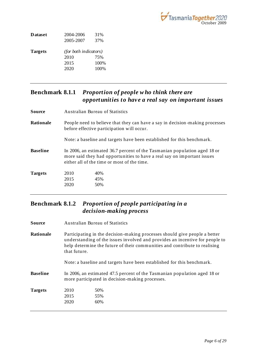

| <b>D</b> ataset | 2004-2006                    | 31%  |
|-----------------|------------------------------|------|
|                 | 2005-2007                    | 37%  |
| <b>Targets</b>  | <i>(for both indicators)</i> |      |
|                 | 2010                         | 75%  |
|                 | 2015                         | 100% |
|                 | 2020                         | 100% |
|                 |                              |      |

### <span id="page-15-0"></span>**Benchmark 8.1.1** *Proportion of people w ho think there are opportunities to have a real say on important issues*

| Source           | Australian Bureau of Statistics                                                                                                                                                                     |                                                                        |  |
|------------------|-----------------------------------------------------------------------------------------------------------------------------------------------------------------------------------------------------|------------------------------------------------------------------------|--|
| <b>Rationale</b> | People need to believe that they can have a say in decision-making processes<br>before effective participation will occur.                                                                          |                                                                        |  |
|                  |                                                                                                                                                                                                     | Note: a baseline and targets have been established for this benchmark. |  |
| <b>Baseline</b>  | In 2006, an estimated 36.7 percent of the Tasmanian population aged 18 or<br>more said they had opportunities to have a real say on important issues<br>either all of the time or most of the time. |                                                                        |  |
| <b>Targets</b>   | 2010                                                                                                                                                                                                | 40%                                                                    |  |
|                  | 2015                                                                                                                                                                                                | 45%                                                                    |  |
|                  | 2020                                                                                                                                                                                                | 50%                                                                    |  |
|                  |                                                                                                                                                                                                     |                                                                        |  |

### <span id="page-15-1"></span>**Benchmark 8.1.2** *Proportion of people participating in a decision-making process*

| Source          |      | Australian Bureau of Statistics                                                                                                                                                                                                                          |  |  |  |
|-----------------|------|----------------------------------------------------------------------------------------------------------------------------------------------------------------------------------------------------------------------------------------------------------|--|--|--|
| Rationale       |      | Participating in the decision-making processes should give people a better<br>understanding of the issues involved and provides an incentive for people to<br>help determine the future of their communities and contribute to realising<br>that future. |  |  |  |
|                 |      | Note: a baseline and targets have been established for this benchmark.                                                                                                                                                                                   |  |  |  |
| <b>Baseline</b> |      | In 2006, an estimated 47.5 percent of the Tasmanian population aged 18 or<br>more participated in decision-making processes.                                                                                                                             |  |  |  |
| <b>Targets</b>  | 2010 | 50%                                                                                                                                                                                                                                                      |  |  |  |
|                 | 2015 | 55%                                                                                                                                                                                                                                                      |  |  |  |
|                 | 2020 | 60%                                                                                                                                                                                                                                                      |  |  |  |
|                 |      |                                                                                                                                                                                                                                                          |  |  |  |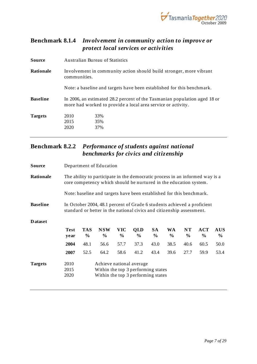

### <span id="page-16-0"></span>**Benchmark 8.1.4** *Involvement in community action to improve or protect local services or activities*

| Source          | Australian Bureau of Statistics                                                                                                           |                                                                     |  |
|-----------------|-------------------------------------------------------------------------------------------------------------------------------------------|---------------------------------------------------------------------|--|
| Rationale       | communities.                                                                                                                              | Involvement in community action should build stronger, more vibrant |  |
|                 | Note: a baseline and targets have been established for this benchmark.                                                                    |                                                                     |  |
| <b>Baseline</b> | In 2006, an estimated 28.2 percent of the Tasmanian population aged 18 or<br>more had worked to provide a local area service or activity. |                                                                     |  |
| <b>Targets</b>  | 2010<br>2015<br>2020                                                                                                                      | 33%<br>35%<br>37%                                                   |  |

### <span id="page-16-1"></span>**Benchmark 8.2.2** *Performance of students against national benchmarks for civics and citizenship*

| Source          |                                                                                                                                                   | Department of Education |                                                                                                                                                  |                    |                             |                            |                     |            |                    |                    |
|-----------------|---------------------------------------------------------------------------------------------------------------------------------------------------|-------------------------|--------------------------------------------------------------------------------------------------------------------------------------------------|--------------------|-----------------------------|----------------------------|---------------------|------------|--------------------|--------------------|
| Rationale       | The ability to participate in the democratic process in an informed way is a<br>core competency which should be nurtured in the education system. |                         |                                                                                                                                                  |                    |                             |                            |                     |            |                    |                    |
|                 |                                                                                                                                                   |                         | Note: baseline and targets have been established for this benchmark.                                                                             |                    |                             |                            |                     |            |                    |                    |
| <b>Baseline</b> |                                                                                                                                                   |                         | In October 2004, 48.1 percent of Grade 6 students achieved a proficient<br>standard or better in the national civics and citizenship assessment. |                    |                             |                            |                     |            |                    |                    |
| <b>D</b> ataset |                                                                                                                                                   |                         |                                                                                                                                                  |                    |                             |                            |                     |            |                    |                    |
|                 | <b>Test</b><br>year                                                                                                                               | <b>TAS</b><br>$\%$      | <b>NSW</b><br>$\%$                                                                                                                               | <b>VIC</b><br>$\%$ | <b>OLD</b><br>$\frac{6}{9}$ | <b>SA</b><br>$\frac{6}{9}$ | WA<br>$\frac{6}{9}$ | NT<br>$\%$ | <b>ACT</b><br>$\%$ | <b>AUS</b><br>$\%$ |
|                 | 2004                                                                                                                                              | 48.1                    | 56.6                                                                                                                                             | 57.7               | 37.3                        | 43.0                       | 38.5                | 40.6       | 60.5               | 50.0               |
|                 | 2007                                                                                                                                              | 52.5                    | 64.2                                                                                                                                             | 58.6               | 41.2                        | 43.4                       | 39.6                | 27.7       | 59.9               | 53.4               |
| <b>Targets</b>  | 2010<br>2015<br>2020                                                                                                                              |                         | Achieve national average<br>Within the top 3 performing states<br>Within the top 3 performing states                                             |                    |                             |                            |                     |            |                    |                    |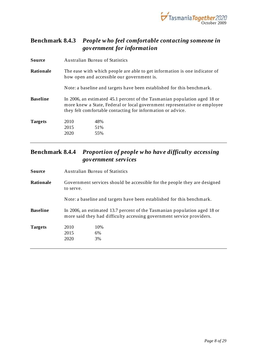

### <span id="page-17-0"></span>**Benchmark 8.4.3** *People w ho feel comfortable contacting someone in government for information*

| Source          |      | Australian Bureau of Statistics                                                                                                                                                                                       |  |  |
|-----------------|------|-----------------------------------------------------------------------------------------------------------------------------------------------------------------------------------------------------------------------|--|--|
| Rationale       |      | The ease with which people are able to get information is one indicator of<br>how open and accessible our government is.                                                                                              |  |  |
|                 |      | Note: a baseline and targets have been established for this benchmark.                                                                                                                                                |  |  |
| <b>Baseline</b> |      | In 2006, an estimated 45.1 percent of the Tasmanian population aged 18 or<br>more knew a State, Federal or local government representative or employee<br>they felt comfortable contacting for information or advice. |  |  |
| <b>Targets</b>  | 2010 | 48%                                                                                                                                                                                                                   |  |  |
|                 | 2015 | 51%                                                                                                                                                                                                                   |  |  |
|                 | 2020 | 55%                                                                                                                                                                                                                   |  |  |
|                 |      |                                                                                                                                                                                                                       |  |  |

### <span id="page-17-1"></span>**Benchmark 8.4.4** *Proportion of people w ho have difficulty accessing government services*

| Source          | Australian Bureau of Statistics                                                                                                                    |                 |  |
|-----------------|----------------------------------------------------------------------------------------------------------------------------------------------------|-----------------|--|
| Rationale       | Government services should be accessible for the people they are designed<br>to serve.                                                             |                 |  |
|                 | Note: a baseline and targets have been established for this benchmark.                                                                             |                 |  |
| <b>Baseline</b> | In 2006, an estimated 13.7 percent of the Tasmanian population aged 18 or<br>more said they had difficulty accessing government service providers. |                 |  |
| <b>Targets</b>  | 2010<br>2015<br>2020                                                                                                                               | 10%<br>6%<br>3% |  |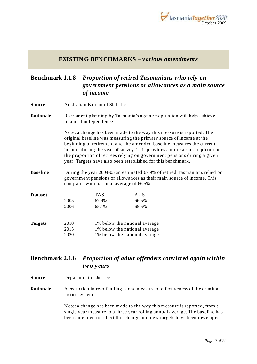

#### **EXISTING BENCHMARKS –** *various amendments*

### <span id="page-18-1"></span><span id="page-18-0"></span>**Benchmark 1.1.8** *Proportion of retired Tasmanians w ho rely on government pensions or allow ances as a main source of income*

- **Source** Australian Bureau of Statistics
- **Rationale** Retirement planning by Tasmania's ageing population will help achieve financial independence.

Note: a change has been made to the way this measure is reported. The original baseline was measuring the primary source of income at the beginning of retirement and the amended baseline measures the current income during the year of survey. This provides a more accurate picture of the proportion of retirees relying on government pensions during a given year. Targets have also been established for this benchmark.

**Baseline** During the year 2004-05 an estimated 67.9% of retired Tasmanians relied on government pensions or allowances as their main source of income. This compares with national average of 66.5%.

| <b>D</b> ataset |              | <b>TAS</b> | <b>AUS</b>                                                     |
|-----------------|--------------|------------|----------------------------------------------------------------|
|                 | 2005         | 67.9%      | 66.5%                                                          |
|                 | 2006         | 65.1%      | 65.5%                                                          |
| <b>Targets</b>  | 2010         |            | 1% below the national average                                  |
|                 | 2015<br>2020 |            | 1% below the national average<br>1% below the national average |

### <span id="page-18-2"></span>**Benchmark 2.1.6** *Proportion of adult offenders convicted again w ithin tw o years*

- **Source** Department of Justice
- **Rationale** A reduction in re-offending is one measure of effectiveness of the criminal justice system.

Note: a change has been made to the way this measure is reported, from a single year measure to a three year rolling annual average. The baseline has been amended to reflect this change and new targets have been developed.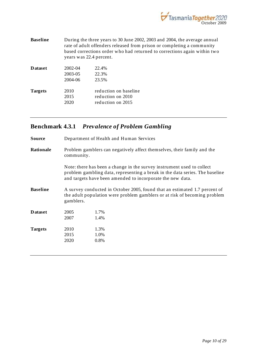

| <b>Baseline</b> | During the three years to 30 June 2002, 2003 and 2004, the average annual |
|-----------------|---------------------------------------------------------------------------|
|                 | rate of adult offenders released from prison or completing a community    |
|                 | based corrections order who had returned to corrections again within two  |
|                 | years was 22.4 percent.                                                   |

| <b>D</b> ataset | 2002-04<br>2003-05<br>2004-06 | 22.4%<br>22.3%<br>23.5%                                         |
|-----------------|-------------------------------|-----------------------------------------------------------------|
| <b>Targets</b>  | 2010<br>2015<br>2020          | reduction on baseline<br>reduction on 2010<br>reduction on 2015 |

## <span id="page-19-0"></span>**Benchmark 4.3.1** *Prevalence of Problem Gambling*

| Source          | Department of Health and Human Services                                                                                                                                                                              |      |  |  |
|-----------------|----------------------------------------------------------------------------------------------------------------------------------------------------------------------------------------------------------------------|------|--|--|
| Rationale       | Problem gamblers can negatively affect themselves, their family and the<br>community.                                                                                                                                |      |  |  |
|                 | Note: there has been a change in the survey instrument used to collect<br>problem gambling data, representing a break in the data series. The baseline<br>and targets have been amended to incorporate the new data. |      |  |  |
| <b>Baseline</b> | A survey conducted in October 2005, found that an estimated 1.7 percent of<br>the adult population were problem gamblers or at risk of becoming problem<br>gamblers.                                                 |      |  |  |
| <b>Dataset</b>  | 2005                                                                                                                                                                                                                 | 1.7% |  |  |
|                 | 2007                                                                                                                                                                                                                 | 1.4% |  |  |
| <b>Targets</b>  | 2010                                                                                                                                                                                                                 | 1.3% |  |  |
|                 | 2015                                                                                                                                                                                                                 | 1.0% |  |  |
|                 | 2020                                                                                                                                                                                                                 | 0.8% |  |  |
|                 |                                                                                                                                                                                                                      |      |  |  |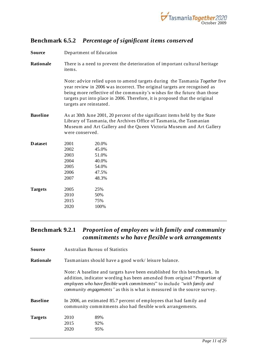

### <span id="page-20-0"></span>**Benchmark 6.5.2** *Percentage of significant items conserved*

| Source          | Department of Education                                                                                                                                                                                                                                                                                                                         |                                                                             |  |  |
|-----------------|-------------------------------------------------------------------------------------------------------------------------------------------------------------------------------------------------------------------------------------------------------------------------------------------------------------------------------------------------|-----------------------------------------------------------------------------|--|--|
| Rationale       | items.                                                                                                                                                                                                                                                                                                                                          | There is a need to prevent the deterioration of important cultural heritage |  |  |
|                 | Note: advice relied upon to amend targets during the Tasmania Together five<br>year review in 2006 was incorrect. The original targets are recognised as<br>being more reflective of the community's wishes for the future than those<br>targets put into place in 2006. Therefore, it is proposed that the original<br>targets are reinstated. |                                                                             |  |  |
| <b>Baseline</b> | As at 30th June 2001, 20 percent of the significant items held by the State<br>Library of Tasmania, the Archives Office of Tasmania, the Tasmanian<br>Museum and Art Gallery and the Queen Victoria Museum and Art Gallery<br>were conserved.                                                                                                   |                                                                             |  |  |
| <b>Dataset</b>  | 2001<br>2002<br>2003<br>2004<br>2005<br>2006<br>2007                                                                                                                                                                                                                                                                                            | 20.0%<br>45.0%<br>51.0%<br>40.0%<br>54.0%<br>47.5%<br>48.3%                 |  |  |
| <b>Targets</b>  | 2005<br>2010<br>2015<br>2020                                                                                                                                                                                                                                                                                                                    | 25%<br>50%<br>75%<br>100%                                                   |  |  |

### <span id="page-20-1"></span>**Benchmark 9.2.1** *Proportion of employees w ith family and community commitments w ho have flexible w ork arrangements*

**Source** Australian Bureau of Statistics

**Rationale** Tasmanians should have a good work/ leisure balance.

Note: A baseline and targets have been established for this benchmark. In addition, indicator wording has been amended from original "*Proportion of employees who have flexible work commitments*" to include *"with family and community engagements"* as this is what is measured in the source survey.

**Baseline** In 2006, an estimated 85.7 percent of employees that had family and community commitments also had flexible work arrangements.

| <b>Targets</b> | 2010 | 89% |
|----------------|------|-----|
|                | 2015 | 92% |
|                | 2020 | 95% |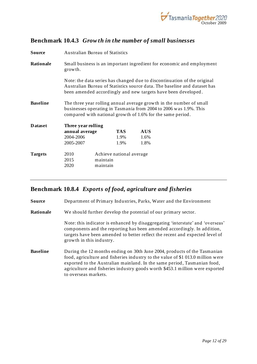

#### <span id="page-21-0"></span>**Benchmark 10.4.3** *Grow th in the number of small businesses*

| Source          | <b>Australian Bureau of Statistics</b>                                                                                                                                                                 |                      |                          |            |  |                                                                           |
|-----------------|--------------------------------------------------------------------------------------------------------------------------------------------------------------------------------------------------------|----------------------|--------------------------|------------|--|---------------------------------------------------------------------------|
| Rationale       | Small business is an important ingredient for economic and employment<br>growth.                                                                                                                       |                      |                          |            |  |                                                                           |
|                 | Note: the data series has changed due to discontinuation of the original<br>been amended accordingly and new targets have been developed.                                                              |                      |                          |            |  | Australian Bureau of Statistics source data. The baseline and dataset has |
| <b>Baseline</b> | The three year rolling annual average growth in the number of small<br>businesses operating in Tasmania from 2004 to 2006 was 1.9%. This<br>compared with national growth of 1.6% for the same period. |                      |                          |            |  |                                                                           |
| <b>D</b> ataset | Three year rolling                                                                                                                                                                                     |                      |                          |            |  |                                                                           |
|                 | annual average                                                                                                                                                                                         |                      | <b>TAS</b>               | <b>AUS</b> |  |                                                                           |
|                 | 2004-2006                                                                                                                                                                                              |                      | 1.9%                     | 1.6%       |  |                                                                           |
|                 | 2005-2007                                                                                                                                                                                              |                      | 1.9%                     | 1.8%       |  |                                                                           |
| <b>Targets</b>  | 2010<br>2015<br>2020                                                                                                                                                                                   | maintain<br>maintain | Achieve national average |            |  |                                                                           |

#### <span id="page-21-1"></span>**Benchmark 10.8.4** *Exports of food, agriculture and fisheries*

**Source** Department of Primary Industries, Parks, Water and the Environment

**Rationale** We should further develop the potential of our primary sector.

Note: this indicator is enhanced by disaggregating 'interstate' and 'overseas' components and the reporting has been amended accordingly. In addition, targets have been amended to better reflect the recent and expected level of growth in this industry.

**Baseline** During the 12 months ending on 30th June 2004, products of the Tasmanian food, agriculture and fisheries industry to the value of \$1 013.0 million were exported to the Australian mainland. In the same period, Tasmanian food, agriculture and fisheries industry goods worth \$453.1 million were exported to overseas markets.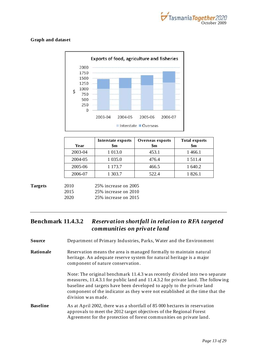

#### **Graph and dataset**



| Year    | Interstate exports<br>$\mathbf{\$m}$ | Overseas exports<br>$\mathbf{\$m}$ | <b>Total exports</b><br>$\mathbf{\$m}$ |
|---------|--------------------------------------|------------------------------------|----------------------------------------|
| 2003-04 | 1 0 1 3 .0                           | 453.1                              | 1466.1                                 |
| 2004-05 | 1 0 3 5 .0                           | 476.4                              | 1511.4                                 |
| 2005-06 | 1 173.7                              | 466.5                              | 1 640.2                                |
| 2006-07 | 1 303.7                              | 522.4                              | 1826.1                                 |

2010 25% increase on 2005 2015 25% increase on 2010 2020 25% increase on 2015

### <span id="page-22-0"></span>**Benchmark 11.4.3.2** *Reservation shortfall in relation to RFA targeted communities on private land*

**Source** Department of Primary Industries, Parks, Water and the Environment

**Rationale** Reservation means the area is managed formally to maintain natural heritage. An adequate reserve system for natural heritage is a major component of nature conservation.

> Note: The original benchmark 11.4.3 was recently divided into two separate measures, 11.4.3.1 for public land and 11.4.3.2 for private land. The following baseline and targets have been developed to apply to the private land component of the indicator as they were not established at the time that the division was made.

**Baseline** As at April 2002, there was a shortfall of 85 000 hectares in reservation approvals to meet the 2012 target objectives of the Regional Forest Agreement for the protection of forest communities on private land.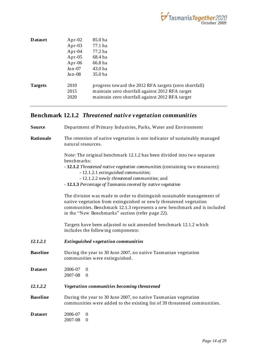

| <b>D</b> ataset | Apr-02    | 85.0 ha                                               |
|-----------------|-----------|-------------------------------------------------------|
|                 | Apr-03    | 77.1 ha                                               |
|                 | Apr- $04$ | 77.2 ha                                               |
|                 | Apr- $05$ | 68.4 ha                                               |
|                 | Apr-06    | 66.8 ha                                               |
|                 | $Jun-07$  | 43.0 ha                                               |
|                 | $Jun-08$  | 35.0 ha                                               |
| <b>Targets</b>  | 2010      | progress toward the 2012 RFA targets (zero shortfall) |
|                 | 2015      | maintain zero shortfall against 2012 RFA target       |
|                 | 2020      | maintain zero shortfall against 2012 RFA target       |
|                 |           |                                                       |

## <span id="page-23-0"></span>**Benchmark 12.1.2** *Threatened native vegetation communities*

| <b>Source</b>   | Department of Primary Industries, Parks, Water and Environment                                                                                                                                                                                                                |  |  |  |  |
|-----------------|-------------------------------------------------------------------------------------------------------------------------------------------------------------------------------------------------------------------------------------------------------------------------------|--|--|--|--|
| Rationale       | The retention of native vegetation is one indicator of sustainably managed<br>natural resources.                                                                                                                                                                              |  |  |  |  |
|                 | Note: The original benchmark 12.1.2 has been divided into two separate<br>benchmarks:                                                                                                                                                                                         |  |  |  |  |
|                 | - 12.1.2 Threatened native vegetation communities (containing two measures):<br>- 12.1.2.1 extinguished communities;                                                                                                                                                          |  |  |  |  |
|                 | - 12.1.2.2 newly threatened communities; and                                                                                                                                                                                                                                  |  |  |  |  |
|                 | - 12.1.3 Percentage of Tasmania covered by native vegetation                                                                                                                                                                                                                  |  |  |  |  |
|                 | The division was made in order to distinguish sustainable management of<br>native vegetation from extinguished or newly threatened vegetation<br>communities. Benchmark 12.1.3 represents a new benchmark and is included<br>in the "New Benchmarks" section (refer page 22). |  |  |  |  |
|                 | Targets have been adjusted to suit amended benchmark 12.1.2 which<br>includes the following components:                                                                                                                                                                       |  |  |  |  |
| 12.1.2.1        | <b>Extinguished vegetation communities</b>                                                                                                                                                                                                                                    |  |  |  |  |
| <b>Baseline</b> | During the year to 30 June 2007, no native Tasmanian vegetation<br>communities were extinguished.                                                                                                                                                                             |  |  |  |  |
| <b>Dataset</b>  | 2006-07<br>$\theta$<br>2007-08<br>$\theta$                                                                                                                                                                                                                                    |  |  |  |  |
| 12.1.2.2        | Vegetation communities becoming threatened                                                                                                                                                                                                                                    |  |  |  |  |
| <b>Baseline</b> | During the year to 30 June 2007, no native Tasmanian vegetation<br>communities were added to the existing list of 39 threatened communities.                                                                                                                                  |  |  |  |  |
| <b>Dataset</b>  | 2006-07<br>$\mathbf{0}$<br>2007-08<br>$\theta$                                                                                                                                                                                                                                |  |  |  |  |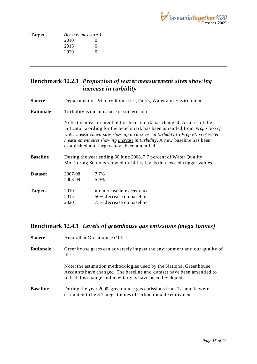

| <i>(for both measures)</i> |                   |  |
|----------------------------|-------------------|--|
| 2010                       | 0                 |  |
| 2015                       | $\mathbf{\Omega}$ |  |
| 2020                       | $\mathbf{\Omega}$ |  |
|                            |                   |  |

### <span id="page-24-0"></span>**Benchmark 12.2.1** *Proportion of w ater measurement sites show ing increase in turbidity*

- **Source** Department of Primary Industries, Parks, Water and Environment
- **Rationale** Turbidity is one measure of soil erosion .

Note: the measurement of this benchmark has changed. As a result the indicator wording for the benchmark has been amended from *Proportion of water measurement sites showing no increase in turbidity* to *Proportion of water measurement sites showing increase in turbidity.* A new baseline has been established and targets have been amended.

**Baseline** During the year ending 30 June 2008, 7.7 percent of Water Quality Monitoring Stations showed turbidity levels that exceed trigger values.

| <b>Dataset</b> | 2007-08<br>2008-09   | 7.7%<br>5.9%                                                                       |
|----------------|----------------------|------------------------------------------------------------------------------------|
| <b>Targets</b> | 2010<br>2015<br>2020 | no increase in exceedences<br>50% decrease on baseline<br>75% decrease on baseline |

### <span id="page-24-1"></span>**Benchmark 12.4.1** *Levels of greenhouse gas emissions (mega tonnes)*

| Source          | Australian Greenhouse Office                                                                                                                                                                           |  |  |  |
|-----------------|--------------------------------------------------------------------------------------------------------------------------------------------------------------------------------------------------------|--|--|--|
| Rationale       | Greenhouse gases can adversely impact the environment and our quality of<br>life.                                                                                                                      |  |  |  |
|                 | Note: the estimation methodologies used by the National Greenhouse<br>Accounts have changed. The baseline and dataset have been amended to<br>reflect this change and new targets have been developed. |  |  |  |
| <b>Baseline</b> | During the year 2000, greenhouse gas emissions from Tasmania were<br>estimated to be 8.1 mega tonnes of carbon dioxide equivalent.                                                                     |  |  |  |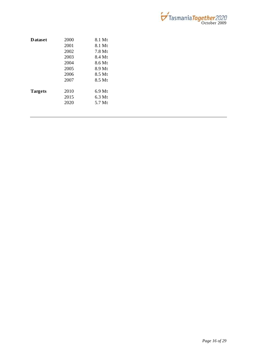

| <b>Dataset</b> | 2000 | 8.1 Mt             |
|----------------|------|--------------------|
|                | 2001 | 8.1 Mt             |
|                | 2002 | $7.8\mathrm{Mt}$   |
|                | 2003 | 8.4 Mt             |
|                | 2004 | 8.6 Mt             |
|                | 2005 | 8.9 Mt             |
|                | 2006 | $8.5 \mathrm{M}$ t |
|                | 2007 | $8.5 \mathrm{M}$ t |
| <b>Targets</b> | 2010 | $6.9$ Mt           |
|                | 2015 | 6.3 Mt             |
|                | 2020 | $5.7 \mathrm{M}$ t |
|                |      |                    |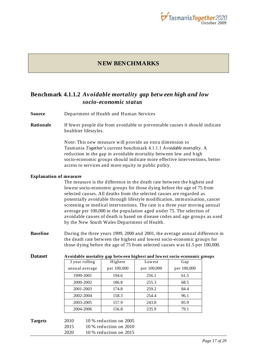

#### **NEW BENCHMARKS**

#### <span id="page-26-1"></span><span id="page-26-0"></span>**Benchmark 4.1.1.2** *Avoidable mortality gap betw een high and low socio-economic status*

- **Source** Department of Health and Human Services
- **Rationale** If fewer people die from avoidable or preventable causes it should indicate healthier lifestyles.

Note: This new measure will provide an extra dimension to Tasmania *Together*"s current benchmark 4.1.1.1 *Avoidable mortality*. A reduction in the gap in avoidable mortality between low and high socio-economic groups should indicate more effective interventions, better access to services and more equity in public policy.

#### **Explanation of measure**

The measure is the difference in the death rate between the highest and lowest socio-economic groups for those dying before the age of 75 from selected causes. All deaths from the selected causes are regarded as potentially avoidable through lifestyle modification, immunisation, cancer screening or medical interventions. The rate is a three year moving annual average per 100,000 in the population aged under 75. The selection of avoidable causes of death is based on disease codes and age groups as used by the New South Wales Department of Health.

**Baseline** During the three years 1999, 2000 and 2001, the average annual difference in the death rate between the highest and lowest socio-economic groups for those dying before the age of 75 from selected causes was 61.5 per 100,000.

| <b>Dataset</b> |                | Avoidable mortality gap between highest and lowest socio-economic groups |             |             |  |  |
|----------------|----------------|--------------------------------------------------------------------------|-------------|-------------|--|--|
|                | 3 year rolling | Highest                                                                  | Lowest      | Gap         |  |  |
|                | annual average | per 100,000                                                              | per 100,000 | per 100,000 |  |  |
|                | 1999-2001      | 194.6                                                                    | 256.1       | 61.5        |  |  |
|                | 2000-2002      | 186.8                                                                    | 255.3       | 68.5        |  |  |
|                | 2001-2003      | 174.8                                                                    | 259.2       | 84.4        |  |  |
|                | 2002-2004      | 158.3                                                                    | 254.4       | 96.1        |  |  |
|                | 2003-2005      | 157.9                                                                    | 243.8       | 85.9        |  |  |
|                | 2004-2006      | 156.8                                                                    | 235.9       | 79.1        |  |  |
|                |                |                                                                          |             |             |  |  |
| <b>Targets</b> | 2010           | $10\%$ reduction on $2005$                                               |             |             |  |  |
|                | 2015           | $10\%$ reduction on $2010$                                               |             |             |  |  |
|                | 2020           | $10\%$ reduction on $2015$                                               |             |             |  |  |

#### **Dataset Avoidable mortality gap between highest and lowest socio-economic groups**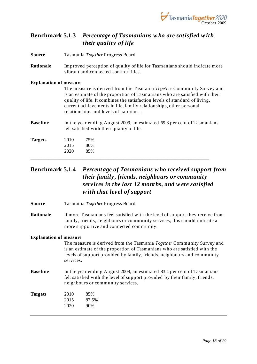

### <span id="page-27-0"></span>**Benchmark 5.1.3** *Percentage of Tasmanians w ho are satisfied w ith their quality of life*

| Source | Tasmania Together Progress Board |  |  |
|--------|----------------------------------|--|--|
|        |                                  |  |  |

**Rationale** Improved perception of quality of life for Tasmanians should indicate more vibrant and connected communities.

#### **Explanation of measure**

| The measure is derived from the Tasmania Together Community Survey and      |
|-----------------------------------------------------------------------------|
| is an estimate of the proportion of Tasmanians who are satisfied with their |
| quality of life. It combines the satisfaction levels of standard of living, |
| current achievements in life, family relationships, other personal          |
| relationships and levels of happiness.                                      |
|                                                                             |

**Baseline** In the year ending August 2009, an estimated 69.8 per cent of Tasmanians felt satisfied with their quality of life.

| <b>Targets</b> | 2010 | 75% |  |
|----------------|------|-----|--|
|                | 2015 | 80% |  |
|                | 2020 | 85% |  |
|                |      |     |  |

### <span id="page-27-1"></span>**Benchmark 5.1.4** *Percentage of Tasmanians w ho received support from their family, friends, neighbours or community services in the last 12 months, and w ere satisfied w ith that level of support*

- **Source** Tasmania *Together* Progress Board
- **Rationale** If more Tasmanians feel satisfied with the level of support they receive from family, friends, neighbours or community services, this should indicate a more supportive and connected community.

#### **Explanation of measure**

The measure is derived from the Tasmania *Together* Community Survey and is an estimate of the proportion of Tasmanians who are satisfied with the levels of support provided by family, friends, neighbours and community services.

**Baseline** In the year ending August 2009, an estimated 83.4 per cent of Tasmanians felt satisfied with the level of support provided by their family, friends, neighbours or community services.

| <b>Targets</b> | 2010 | 85%   |
|----------------|------|-------|
|                | 2015 | 87.5% |
|                | 2020 | 90%   |
|                |      |       |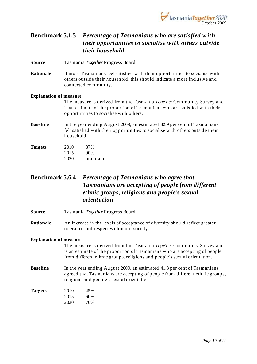

### <span id="page-28-0"></span>**Benchmark 5.1.5** *Percentage of Tasmanians w ho are satisfied w ith their opportunities to socialise w ith others outside their household*

**Source** Tasmania *Together* Progress Board

**Rationale** If more Tasmanians feel satisfied with their opportunities to socialise with others outside their household, this should indicate a more inclusive and connected community.

#### **Explanation of measure**

The measure is derived from the Tasmania *Together* Community Survey and is an estimate of the proportion of Tasmanians who are satisfied with their opportunities to socialise with others.

**Baseline** In the year ending August 2009, an estimated 82.9 per cent of Tasmanians felt satisfied with their opportunities to socialise with others outside their household.

| <b>Targets</b> | 2010 | 87%      |
|----------------|------|----------|
|                | 2015 | 90%      |
|                | 2020 | maintain |

### <span id="page-28-1"></span>**Benchmark 5.6.4** *Percentage of Tasmanians w ho agree that Tasmanians are accepting of people from different ethnic groups, religions and people's sexual orientation*

- **Source** Tasmania *Together* Progress Board
- **Rationale** An increase in the levels of acceptance of diversity should reflect greater tolerance and respect within our society.

#### **Explanation of measure**

The measure is derived from the Tasmania *Together* Community Survey and is an estimate of the proportion of Tasmanians who are accepting of people from different ethnic groups, religions and people"s sexual orientation.

**Baseline** In the year ending August 2009, an estimated 41.3 per cent of Tasmanians agreed that Tasmanians are accepting of people from different ethnic groups, religions and people"s sexual orientation.

| <b>Targets</b> | 2010 | 45% |
|----------------|------|-----|
|                | 2015 | 60% |
|                | 2020 | 70% |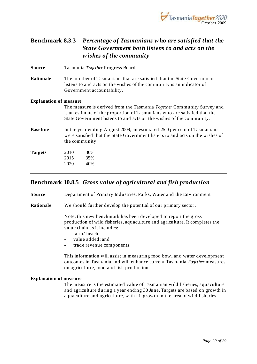

### <span id="page-29-0"></span>**Benchmark 8.3.3** *Percentage of Tasmanians w ho are satisfied that the State Government both listens to and acts on the w ishes of the community*

**Source** Tasmania *Together* Progress Board

**Rationale** The number of Tasmanians that are satisfied that the State Government listens to and acts on the wishes of the community is an indicator of Government accountability.

#### **Explanation of measure**

The measure is derived from the Tasmania *Together* Community Survey and is an estimate of the proportion of Tasmanians who are satisfied that the State Government listens to and acts on the wishes of the community.

- **Baseline** In the year ending August 2009, an estimated 25.0 per cent of Tasmanians were satisfied that the State Government listens to and acts on the wishes of the community.
- **Targets** 2010 30% 2015 35% 2020 40%

#### <span id="page-29-1"></span>**Benchmark 10.8.5** *Gross value of agricultural and fish production*

**Source** Department of Primary Industries, Parks, Water and the Environment

**Rationale** We should further develop the potential of our primary sector.

Note: this new benchmark has been developed to report the gross production of wild fisheries, aquaculture and agriculture. It completes the value chain as it includes:

- farm/heach:
- value added; and
- trade revenue components.

This information will assist in measuring food bowl and water development outcomes in Tasmania and will enhance current Tasmania *Together* measures on agriculture, food and fish production.

#### **Explanation of measure**

The measure is the estimated value of Tasmanian wild fisheries, aquaculture and agriculture during a year ending 30 June. Targets are based on growth in aquaculture and agriculture, with nil growth in the area of wild fisheries.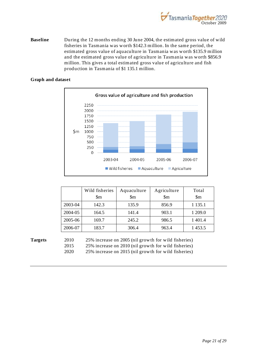

**Baseline** During the 12 months ending 30 June 2004, the estimated gross value of wild fisheries in Tasmania was worth \$142.3 million. In the same period, the estimated gross value of aquaculture in Tasmania was worth \$135.9 million and the estimated gross value of agriculture in Tasmania was worth \$856.9 million. This gives a total estimated gross value of agriculture and fish production in Tasmania of \$1 135.1 million.

#### **Graph and dataset**



|         | Wild fisheries | Aquaculture            | Agriculture            | Total                  |
|---------|----------------|------------------------|------------------------|------------------------|
|         | Sm             | $\mathop{\mathrm{Sm}}$ | $\mathop{\mathrm{Sm}}$ | $\mathop{\mathrm{Sm}}$ |
| 2003-04 | 142.3          | 135.9                  | 856.9                  | 1 1 3 5 .1             |
| 2004-05 | 164.5          | 141.4                  | 903.1                  | 1 209.0                |
| 2005-06 | 169.7          | 245.2                  | 986.5                  | 1 401.4                |
| 2006-07 | 183.7          | 306.4                  | 963.4                  | 1453.5                 |

**Targets** 2010 25% increase on 2005 (nil growth for wild fisheries) 2015 25% increase on 2010 (nil growth for wild fisheries) 2020 25% increase on 2015 (nil growth for wild fisheries)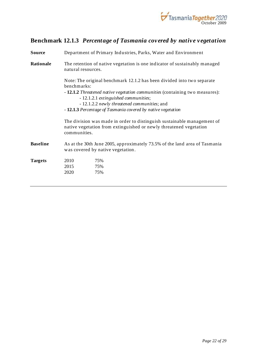

### <span id="page-31-0"></span>**Benchmark 12.1.3** *Percentage of Tasmania covered by native vegetation*

| <b>Source</b>   |                                                                                                                                                               | Department of Primary Industries, Parks, Water and Environment                                                       |  |  |  |  |  |
|-----------------|---------------------------------------------------------------------------------------------------------------------------------------------------------------|----------------------------------------------------------------------------------------------------------------------|--|--|--|--|--|
| Rationale       | natural resources.                                                                                                                                            | The retention of native vegetation is one indicator of sustainably managed                                           |  |  |  |  |  |
|                 | benchmarks:                                                                                                                                                   | Note: The original benchmark 12.1.2 has been divided into two separate                                               |  |  |  |  |  |
|                 |                                                                                                                                                               | - 12.1.2 Threatened native vegetation communities (containing two measures):<br>- 12.1.2.1 extinguished communities; |  |  |  |  |  |
|                 |                                                                                                                                                               | - 12.1.2.2 newly threatened communities; and                                                                         |  |  |  |  |  |
|                 | - 12.1.3 Percentage of Tasmania covered by native vegetation                                                                                                  |                                                                                                                      |  |  |  |  |  |
|                 | The division was made in order to distinguish sustainable management of<br>native vegetation from extinguished or newly threatened vegetation<br>communities. |                                                                                                                      |  |  |  |  |  |
| <b>Baseline</b> |                                                                                                                                                               | As at the 30th June 2005, approximately 73.5% of the land area of Tasmania<br>was covered by native vegetation.      |  |  |  |  |  |
| <b>Targets</b>  | 2010                                                                                                                                                          | 75%                                                                                                                  |  |  |  |  |  |
|                 | 2015                                                                                                                                                          | 75%                                                                                                                  |  |  |  |  |  |
|                 | 2020                                                                                                                                                          | 75%                                                                                                                  |  |  |  |  |  |
|                 |                                                                                                                                                               |                                                                                                                      |  |  |  |  |  |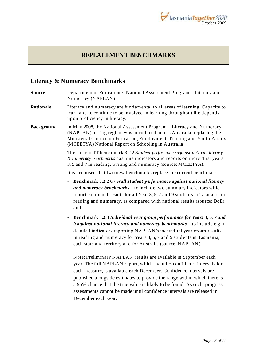

### **REPLACEMENT BENCHMARKS**

#### <span id="page-32-1"></span><span id="page-32-0"></span>**Literacy & Numeracy Benchmarks**

- **Source** Department of Education / National Assessment Program Literacy and Numeracy (NAPLAN)
- **Rationale** Literacy and numeracy are fundamental to all areas of learning. Capacity to learn and to continue to be involved in learning throughout life depends upon proficiency in literacy.
- **Background** In May 2008, the National Assessment Program Literacy and Numeracy (NAPLAN) testing regime was introduced across Australia, replacing the Ministerial Council on Education, Employment, Training and Youth Affairs (MCEETYA) National Report on Schooling in Australia.

The current TT benchmark 3.2.2 *Student performance against national literacy & numeracy benchmarks* has nine indicators and reports on individual years 3, 5 and 7 in reading, writing and numeracy (source: MCEETYA).

It is proposed that two new benchmarks replace the current benchmark:

- **Benchmark 3.2.2** *Overall student performance against national literacy and numeracy benchmarks* – to include two summary indicators which report combined results for all Year 3, 5, 7 and 9 students in Tasmania in reading and numeracy, as compared with national results (source: DoE); and
- **Benchmark 3.2.3** *Individual year group performance for Years 3, 5, 7 and 9 against national literacy and numeracy benchmarks* – to include eight detailed indicators reporting NAPLAN"s individual year group results in reading and numeracy for Years 3, 5, 7 and 9 students in Tasmania, each state and territory and for Australia (source: NAPLAN).

Note: Preliminary NAPLAN results are available in September each year. The full NAPLAN report, which includes confidence intervals for each measure, is available each December. Confidence intervals are published alongside estimates to provide the range within which there is a 95% chance that the true value is likely to be found. As such, progress assessments cannot be made until confidence intervals are released in December each year.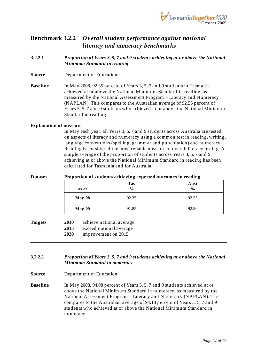

### <span id="page-33-0"></span>**Benchmark 3.2.2** *Overall student performance against national literacy and numeracy benchmarks*

- <span id="page-33-1"></span>**3.2.2.1** *Proportion of Years 3, 5, 7 and 9 students achieving at or above the National Minimum Standard in reading*
- **Source** Department of Education

**Baseline** In May 2008, 92.35 percent of Years 3, 5, 7 and 9 students in Tasmania achieved at or above the National Minimum Standard in reading, as measured by the National Assessment Program – Literacy and Numeracy (NAPLAN). This compares to the Australian average of 92.55 percent of Years 3, 5, 7 and 9 students who achieved at or above the National Minimum Standard in reading.

#### **Explanation of measure**

In May each year, all Years 3, 5, 7 and 9 students across Australia are tested on aspects of literacy and numeracy using a common test in reading, writing, language conventions (spelling, grammar and punctuation) and numeracy. Reading is considered the most reliable measure of overall literacy testing. A simple average of the proportion of students across Years 3, 5, 7 and 9 achieving at or above the National Minimum Standard in reading has been calculated for Tasmania and for Australia.

#### **Dataset Proportion of students achieving expected outcomes in reading as at Tas % Aust % May-08** 92.35 92.35 **May-09** 91.85 92.90 **Targets 2010** achieve national average **2015** exceed national average **2020** improvement on 2015

#### <span id="page-33-2"></span>**3.2.2.2** *Proportion of Years 3, 5, 7 and 9 students achieving at or above the National Minimum Standard in numeracy*

- **Source** Department of Education
- **Baseline** In May 2008, 94.08 percent of Years 3, 5, 7 and 9 students achieved at or above the National Minimum Standard in numeracy, as measured by the National Assessment Program – Literacy and Numeracy (NAPLAN). This compares to the Australian average of 94.18 percent of Years 3, 5, 7 and 9 students who achieved at or above the National Minimum Standard in numeracy.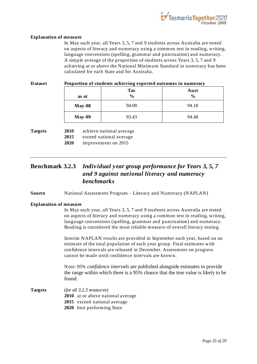

#### **Explanation of measure**

In May each year, all Years 3, 5, 7 and 9 students across Australia are tested on aspects of literacy and numeracy using a common test in reading, writing, language conventions (spelling, grammar and punctuation) and numeracy. A simple average of the proportion of students across Years 3, 5, 7 and 9 achieving at or above the National Minimum Standard in numeracy has been calculated for each State and for Australia.

#### **Dataset Proportion of students achieving expected outcomes in numeracy**

| as at    | <b>Tas</b><br>$\frac{0}{0}$ | Aust<br>$\frac{0}{0}$ |
|----------|-----------------------------|-----------------------|
| $May-08$ | 94.08                       | 94.18                 |
| $May-09$ | 93.43                       | 94.48                 |

**Targets 2010** achieve national average

- **2015** exceed national average
- **2020** improvement on 2015

### <span id="page-34-0"></span>**Benchmark 3.2.3** *Individual year group performance for Years 3, 5, 7 and 9 against national literacy and numeracy benchmarks*

**Source** National Assessment Program – Literacy and Numeracy (NAPLAN)

#### **Explanation of measure**

In May each year, all Years 3, 5, 7 and 9 students across Australia are tested on aspects of literacy and numeracy using a common test in reading, writing, language conventions (spelling, grammar and punctuation) and numeracy. Reading is considered the most reliable measure of overall literacy testing.

Interim NAPLAN results are provided in September each year, based on an estimate of the total population of each year group. Final estimates with confidence intervals are released in December. Assessment on progress cannot be made until confidence intervals are known.

Note: *95% confidence intervals* are published alongside estimates to provide the range within which there is a 95% chance that the true value is likely to be found.

- **Targets** (*for all 3.2.3 measures*)
	- **2010** at or above national average
	- **2015** exceed national average
	- **2020** best performing State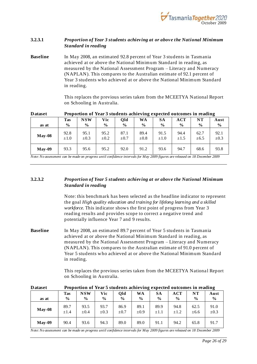

#### <span id="page-35-0"></span>**3.2.3.1** *Proportion of Year 3 students achieving at or above the National Minimum Standard in reading*

**Baseline** In May 2008, an estimated 92.8 percent of Year 3 students in Tasmania achieved at or above the National Minimum Standard in reading, as measured by the National Assessment Program – Literacy and Numeracy (NAPLAN). This compares to the Australian estimate of 92.1 percent of Year 3 students who achieved at or above the National Minimum Standard in reading.

> This replaces the previous series taken from the MCEETYA National Report on Schooling in Australia.

|          | - - - - - - -     |                   |                   |                   |                   |                   |                   |                   |                   |
|----------|-------------------|-------------------|-------------------|-------------------|-------------------|-------------------|-------------------|-------------------|-------------------|
|          | Tas               | <b>NSW</b>        | Vic               | Qld               | WA                | SА                | ACT               | $_{\rm NT}$       | Aust              |
| as at    | $\frac{6}{9}$     | $\frac{6}{9}$     | $\frac{6}{9}$     | $\frac{6}{9}$     | $\frac{0}{0}$     | $\frac{0}{0}$     | $\frac{6}{9}$     | $\frac{6}{9}$     | $\frac{0}{0}$     |
| $May-08$ | 92.8<br>$\pm 1.0$ | 95.1<br>$\pm 0.3$ | 95.2<br>$\pm 0.2$ | 87.1<br>$\pm 0.7$ | 89.4<br>$\pm 0.8$ | 91.5<br>$\pm 1.0$ | 94.4<br>$\pm 1.5$ | 62.7<br>$\pm 6.5$ | 92.1<br>$\pm 0.3$ |
| $May-09$ | 93.3              | 95.6              | 95.2              | 92.0              | 91.2              | 93.6              | 94.7              | 68.6              | 93.8              |

**Dataset Proportion of Year 3 students achieving expected outcomes in reading** 

*Note: No assessment can be made on progress until confidence intervals for May 2009 figures are released on 18 December 2009*

#### <span id="page-35-1"></span>**3.2.3.2** *Proportion of Year 5 students achieving at or above the National Minimum Standard in reading*

Note: this benchmark has been selected as the headline indicator to represent the goal *High quality education and training for lifelong learning and a skilled workforce*. This indicator shows the first point of progress from Year 3 reading results and provides scope to correct a negative trend and potentially influence Year 7 and 9 results.

**Baseline** In May 2008, an estimated 89.7 percent of Year 5 students in Tasmania achieved at or above the National Minimum Standard in reading, as measured by the National Assessment Program – Literacy and Numeracy (NAPLAN). This compares to the Australian estimate of 91.0 percent of Year 5 students who achieved at or above the National Minimum Standard in reading.

> This replaces the previous series taken from the MCEETYA National Report on Schooling in Australia.

| D ataset |                   | Proportion of year's students achieving expected outcomes in reading |                   |                   |                |                   |                   |                   |                   |
|----------|-------------------|----------------------------------------------------------------------|-------------------|-------------------|----------------|-------------------|-------------------|-------------------|-------------------|
|          | <b>Tas</b>        | <b>NSW</b>                                                           | Vic               | Old               | WA             | <b>SA</b>         | ACT               | NT                | Aust              |
| as at    | $\frac{6}{6}$     | $\frac{6}{9}$                                                        | $\frac{6}{9}$     | $\frac{6}{6}$     | $\frac{0}{0}$  | $\frac{0}{0}$     | $\frac{6}{9}$     | $\frac{0}{0}$     | $\frac{6}{9}$     |
| $May-08$ | 89.7<br>$\pm 1.4$ | 93.5<br>$\pm 0.4$                                                    | 93.7<br>$\pm 0.3$ | 86.9<br>$\pm 0.7$ | 89.1<br>$+0.9$ | 89.9<br>$\pm 1.1$ | 94.8<br>$\pm 1.2$ | 62.5<br>$\pm 6.6$ | 91.0<br>$\pm 0.3$ |
| $Mav-09$ | 90.4              | 93.6                                                                 | 94.3              | 89.0              | 89.0           | 91.1              | 94.2              | 65.8              | 91.7              |

**Dataset Proportion of Year 5 students achieving expected outcomes in reading**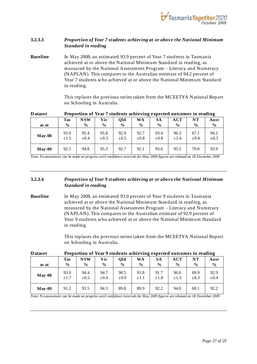

#### <span id="page-36-0"></span>**3.2.3.3** *Proportion of Year 7 students achieving at or above the National Minimum Standard in reading*

**Baseline** In May 2008, an estimated 93.9 percent of Year 7 students in Tasmania achieved at or above the National Minimum Standard in reading, as measured by the National Assessment Program – Literacy and Numeracy (NAPLAN). This compares to the Australian estimate of 94.2 percent of Year 7 students who achieved at or above the National Minimum Standard in reading.

> This replaces the previous series taken from the MCEETYA National Report on Schooling in Australia.

| -------  |                   | Troportion of Tem 7 between to achieve the choice of technics in returning |                   |                   |                   |                   |                   |               |                   |
|----------|-------------------|----------------------------------------------------------------------------|-------------------|-------------------|-------------------|-------------------|-------------------|---------------|-------------------|
|          | <b>Tas</b>        | NSW                                                                        | Vic               | Qld               | WA                | SА                | <b>ACT</b>        | NT            | Aust              |
| as at    | $\frac{6}{9}$     | $\frac{0}{0}$                                                              | $\frac{6}{9}$     | $\frac{6}{9}$     | $\frac{6}{9}$     | $\frac{6}{9}$     | $\frac{6}{9}$     | $\frac{6}{9}$ | $\frac{6}{9}$     |
| $May-08$ | 93.9<br>$\pm 1.5$ | 95.4<br>$\pm 0.4$                                                          | 95.8<br>$\pm 0.3$ | 92.9<br>$\pm 0.5$ | 92.7<br>$\pm 0.8$ | 93.4<br>$\pm 0.8$ | 96.3<br>$\pm 1.4$ | 67.1<br>±9.4  | 94.2<br>$\pm 0.3$ |
| $May-09$ | 92.5              | 94.8                                                                       | 95.3              | 92.7              | 92.1              | 93.6              | 95.5              | 70.8          | 93.9              |

**Dataset Proportion of Year 7 students achieving expected outcomes in reading** 

*Note: No assessment can be made on progress until confidence intervals for May 2009 figures are released on 18 December 2009*

#### <span id="page-36-1"></span>**3.2.3.4** *Proportion of Year 9 students achieving at or above the National Minimum Standard in reading*

**Baseline** In May 2008, an estimated 93.0 percent of Year 9 students in Tasmania achieved at or above the National Minimum Standard in reading, as measured by the National Assessment Program – Literacy and Numeracy (NAPLAN). This compares to the Australian estimate of 92.9 percent of Year 9 students who achieved at or above the National Minimum Standard in reading.

> This replaces the previous series taken from the MCEETYA National Report on Schooling in Australia.

| <i>b</i> utube | Troportron of Tear 9 statemes aemeying expected outcomes in reading |                   |                   |                   |                   |                   |                   |                   |                   |
|----------------|---------------------------------------------------------------------|-------------------|-------------------|-------------------|-------------------|-------------------|-------------------|-------------------|-------------------|
|                | <b>Tas</b>                                                          | <b>NSW</b>        | Vic               | Old               | <b>WA</b>         | <b>SA</b>         | <b>ACT</b>        | NT                | Aust              |
| as at          | $\frac{0}{0}$                                                       | $\frac{0}{0}$     | $\frac{6}{9}$     | $\frac{6}{9}$     | $\frac{6}{9}$     | $\frac{6}{9}$     | $\frac{6}{9}$     | $\frac{6}{9}$     | $\%$              |
| $May-08$       | 93.0<br>$\pm 1.7$                                                   | 94.4<br>$\pm 0.5$ | 94.7<br>$\pm 0.4$ | 90.5<br>$\pm 0.9$ | 91.8<br>$\pm 1.1$ | 91.7<br>$\pm 1.8$ | 96.6<br>$\pm 1.3$ | 69.9<br>$\pm 8.3$ | 92.9<br>$\pm 0.4$ |
| $May-09$       | 91.2                                                                | 93.5              | 94.3              | 89.8              | 89.9              | 92.2              | 94.0              | 69.1              | 92.2              |

**Dataset Proportion of Year 9 students achieving expected outcomes in reading**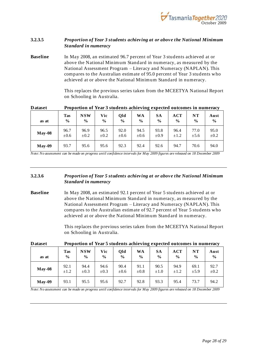

#### <span id="page-37-0"></span>**3.2.3.5** *Proportion of Year 3 students achieving at or above the National Minimum Standard in numeracy*

**Baseline** In May 2008, an estimated 96.7 percent of Year 3 students achieved at or above the National Minimum Standard in numeracy, as measured by the National Assessment Program – Literacy and Numeracy (NAPLAN). This compares to the Australian estimate of 95.0 percent of Year 3 students who achieved at or above the National Minimum Standard in numeracy.

> This replaces the previous series taken from the MCEETYA National Report on Schooling in Australia.

#### **Dataset Proportion of Year 3 students achieving expected outcomes in numeracy**   $\mathbf{I}$ **Tas NSW Vic Qld WA SA ACT NT Aust**

| as at    | Tas           | NSW           | Vic           | Qld           | WA            | SА            | <b>ACT</b>    | NТ            | Aust          |
|----------|---------------|---------------|---------------|---------------|---------------|---------------|---------------|---------------|---------------|
|          | $\frac{6}{9}$ | $\frac{0}{0}$ | $\frac{6}{6}$ | $\frac{0}{0}$ | $\frac{6}{9}$ | $\frac{6}{9}$ | $\frac{0}{0}$ | $\frac{6}{9}$ | $\frac{6}{9}$ |
| $May-08$ | 96.7          | 96.9          | 96.5          | 92.0          | 94.5          | 93.8          | 96.4          | 77.0          | 95.0          |
|          | $\pm 0.6$     | $\pm 0.2$     | $\pm 0.2$     | $\pm 0.6$     | $\pm 0.6$     | $\pm 0.9$     | $\pm 1.2$     | ±5.6          | $\pm 0.2$     |
| $May-09$ | 93.7          | 95.6          | 95.6          | 92.3          | 92.4          | 92.6          | 94.7          | 70.6          | 94.0          |

*Note: No assessment can be made on progress until confidence intervals for May 2009 figures are released on 18 December 2009*

#### <span id="page-37-1"></span>**3.2.3.6** *Proportion of Year 5 students achieving at or above the National Minimum Standard in numeracy*

**Baseline** In May 2008, an estimated 92.1 percent of Year 5 students achieved at or above the National Minimum Standard in numeracy, as measured by the National Assessment Program – Literacy and Numeracy (NAPLAN). This compares to the Australian estimate of 92.7 percent of Year 5 students who achieved at or above the National Minimum Stand ard in numeracy.

> This replaces the previous series taken from the MCEETYA National Report on Schooling in Australia.

| as at    | <b>Tas</b>    | <b>NSW</b>    | Vic           | Qld           | <b>WA</b>     | <b>SA</b>     | <b>ACT</b>    | NT            | Aust          |
|----------|---------------|---------------|---------------|---------------|---------------|---------------|---------------|---------------|---------------|
|          | $\frac{0}{0}$ | $\frac{0}{0}$ | $\frac{6}{9}$ | $\frac{0}{0}$ | $\frac{0}{0}$ | $\frac{0}{0}$ | $\frac{6}{9}$ | $\frac{0}{0}$ | $\frac{0}{0}$ |
| $May-08$ | 92.1          | 94.4          | 94.6          | 90.4          | 91.1          | 90.5          | 94.9          | 69.1          | 92.7          |
|          | $\pm 1.2$     | $\pm 0.3$     | $\pm 0.3$     | $\pm 0.6$     | $\pm 0.8$     | $\pm 1.0$     | $\pm 1.2$     | ±5.9          | $\pm 0.2$     |
| $May-09$ | 93.1          | 95.5          | 95.6          | 92.7          | 92.8          | 93.3          | 95.4          | 73.7          | 94.2          |

#### **Dataset Proportion of Year 5 students achieving expected outcomes in numeracy**